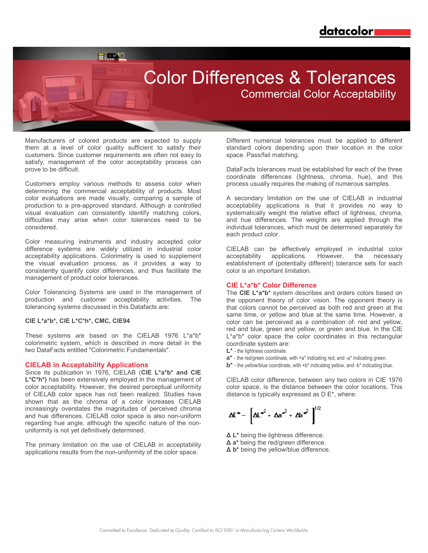$\blacksquare$ 

# Color Differences & Tolerances

Commercial Color Acceptability

Manufacturers of colored products are expected to supply them at a level of color quality sufficient to satisfy their customers. Since customer requirements are often not easy to satisfy, management of the color acceptability process can prove to be difficult.

Customers employ various methods to assess color when determining the commercial acceptability of products. Most color evaluations are made visually, comparing a sample of production to a pre-approved standard. Although a controlled visual evaluation can consistently identify matching colors, difficulties may arise when color tolerances need to be considered.

Color measuring instruments and industry accepted color difference systems are widely utilized in industrial color acceptability applications. Colorimetry is used to supplement the visual evaluation process, as it provides a way to consistently quantify color differences, and thus facilitate the management of product color tolerances.

Color Tolerancing Systems are used in the management of production and customer acceptability activities. The tolerancing systems discussed in this Datafacts are:

#### **CIE L\*a\*b\*, CIE L\*C\*h\*, CMC, CIE94**

These systems are based on the CIELAB 1976 L\*a\*b\* colorimetric system, which is described in more detail in the two DataFacts entitled "Colorimetric Fundamentals".

### **CIELAB in Acceptability Applications**

Since its publication in 1976, CIELAB (**CIE L\*a\*b\* and CIE**  L<sup>\*</sup>C<sup>\*</sup>h<sup>\*</sup>) has been extensively employed in the management of color acceptability. However, the desired perceptual uniformity of CIELAB color space has not been realized. Studies have shown that as the chroma of a color increases CIELAB increasingly overstates the magnitudes of perceived chroma and hue differences. CIELAB color space is also non-uniform regarding hue angle, although the specific nature of the nonuniformity is not yet definitively determined.

The primary limitation on the use of CIELAB in acceptability applications results from the non-uniformity of the color space.

Different numerical tolerances must be applied to different standard colors depending upon their location in the color space. Pass/fail matching.

DataFacts tolerances must be established for each of the three coordinate differences (lightness, chroma, hue), and this process usually requires the making of numerous samples.

A secondary limitation on the use of CIELAB in industrial acceptability applications is that it provides no way to systematically weight the relative effect of lightness, chroma, and hue differences. The weights are applied through the individual tolerances, which must be determined separately for each product color.

CIELAB can be effectively employed in industrial color acceptability applications. However, the necessary establishment of (potentially different) tolerance sets for each color is an important limitation.

#### **CIE L\*a\*b\* Color Difference**

The **CIE L\*a\*b\*** system describes and orders colors based on the opponent theory of color vision. The opponent theory is that colors cannot be perceived as both red and green at the same time, or yellow and blue at the same time. However, a color can be perceived as a combination of: red and yellow, red and blue, green and yellow, or green and blue. In the CIE L\*a\*b\* color space the color coordinates in this rectangular coordinate system are:

- **L\*** the lightness coordinate.
- **a\*** the red/green coordinate, with +a\* indicating red, and -a\* indicating green.
- **b\*** the yellow/blue coordinate, with +b\* indicating yellow, and -b\* indicating blue.

CIELAB color difference, between any two colors in CIE 1976 color space, is the distance between the color locations. This distance is typically expressed as D E\*, where:

$$
\Delta I^* = \left[ \Delta L^{*^2} + \Delta a^{*^2} + \Delta b^{*^2} \right]^{1/2}
$$

- **Δ L\*** being the lightness difference.
- **Δ a\*** being the red/green difference.
- **Δ b\*** being the yellow/blue difference.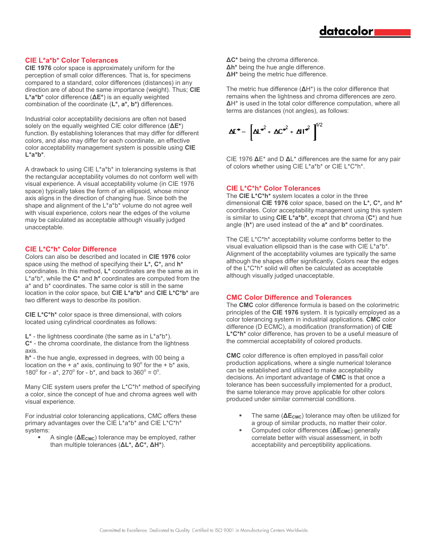### **CIE L\*a\*b\* Color Tolerances**

**CIE 1976** color space is approximately uniform for the perception of small color differences. That is, for specimens compared to a standard, color differences (distances) in any direction are of about the same importance (weight). Thus; **CIE L\*a\*b\*** color difference (**ΔE\***) is an equally weighted combination of the coordinate (**L\*, a\*, b\*)** differences.

Industrial color acceptability decisions are often not based solely on the equally weighted CIE color difference (**ΔE\***) function. By establishing tolerances that may differ for different colors, and also may differ for each coordinate, an effective color acceptability management system is possible using **CIE L\*a\*b\***.

A drawback to using CIE L\*a\*b\* in tolerancing systems is that the rectangular acceptability volumes do not conform well with visual experience. A visual acceptability volume (in CIE 1976 space) typically takes the form of an ellipsoid, whose minor axis aligns in the direction of changing hue. Since both the shape and alignment of the L\*a\*b\* volume do not agree well with visual experience, colors near the edges of the volume may be calculated as acceptable although visually judged unacceptable.

# **CIE L\*C\*h\* Color Difference**

Colors can also be described and located in **CIE 1976** color space using the method of specifying their **L\*, C\*,** and **h\*** coordinates. In this method, **L\*** coordinates are the same as in L\*a\*b\*, while the **C\*** and **h\*** coordinates are computed from the a\* and b\* coordinates. The same color is still in the same location in the color space, but **CIE L\*a\*b\*** and **CIE L\*C\*b\*** are two different ways to describe its position.

**CIE L\*C\*h\*** color space is three dimensional, with colors located using cylindrical coordinates as follows:

**L\*** - the lightness coordinate (the same as in L\*a\*b\*).

**C\*** - the chroma coordinate, the distance from the lightness axis.

**h\*** - the hue angle, expressed in degrees, with 00 being a location on the  $+ a^*$  axis, continuing to 90 $\degree$  for the  $+ b^*$  axis, 180 $^{\circ}$  for - a\*, 270 $^{\circ}$  for - b\*, and back to 360 $^{\circ}$  = 0 $^{\circ}$ .

Many CIE system users prefer the L\*C\*h\* method of specifying a color, since the concept of hue and chroma agrees well with visual experience.

For industrial color tolerancing applications, CMC offers these primary advantages over the CIE L\*a\*b\* and CIE L\*C\*h\* systems:

A single ( $ΔE<sub>CMC</sub>$ ) tolerance may be employed, rather than multiple tolerances (**ΔL\*, ΔC\*, ΔH\***).

- **ΔC\*** being the chroma difference. **Δh\*** being the hue angle difference.
- **ΔH\*** being the metric hue difference.

The metric hue difference (**Δ**H\*) is the color difference that remains when the lightness and chroma differences are zero. **Δ**H\* is used in the total color difference computation, where all terms are distances (not angles), as follows:

 $\Delta I^* = \left[ \Delta I^*^2 + \Delta C^*^2 + \Delta I^*^2 \right]^{1/2}$ 

CIE 1976 **Δ**E\* and D **Δ**L\* differences are the same for any pair of colors whether using CIE L\*a\*b\* or CIE L\*C\*h\*.

## **CIE L\*C\*h\* Color Tolerances**

The **CIE L\*C\*h\*** system locates a color in the three dimensional **CIE 1976** color space, based on the **L\*, C\*,** and **h\*** coordinates. Color acceptability management using this system is similar to using **CIE L\*a\*b\***, except that chroma (**C\***) and hue angle (**h\***) are used instead of the **a\*** and **b\*** coordinates.

The CIE L\*C\*h\* acceptability volume conforms better to the visual evaluation ellipsoid than is the case with CIE L\*a\*b\*. Alignment of the acceptability volumes are typically the same although the shapes differ significantly. Colors near the edges of the L\*C\*h\* solid will often be calculated as acceptable although visually judged unacceptable.

### **CMC Color Difference and Tolerances**

The **CMC** color difference formula is based on the colorimetric principles of the **CIE 1976** system. It is typically employed as a color tolerancing system in industrial applications. **CMC** color difference (D ECMC), a modification (transformation) of **CIE L\*C\*h\*** color difference, has proven to be a useful measure of the commercial acceptability of colored products.

**CMC** color difference is often employed in pass/fail color production applications, where a single numerical tolerance can be established and utilized to make acceptability decisions. An important advantage of **CMC** is that once a tolerance has been successfully implemented for a product, the same tolerance may prove applicable for other colors produced under similar commercial conditions.

- The same ( $\Delta E_{CMC}$ ) tolerance may often be utilized for a group of similar products, no matter their color.
- Computed color differences (**ΔECMC**) generally correlate better with visual assessment, in both acceptability and perceptibility applications.